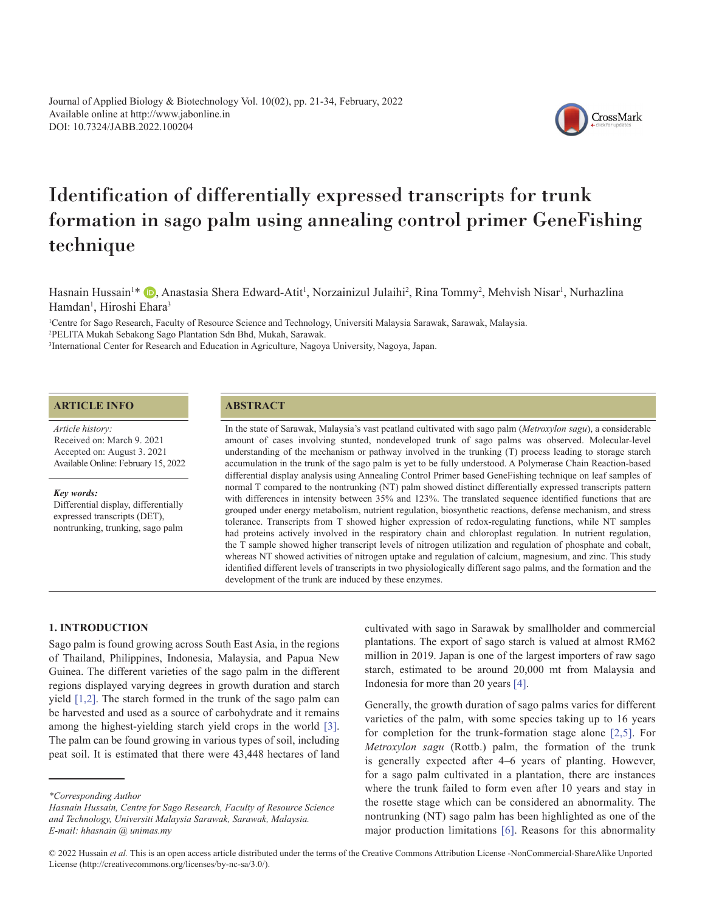Journal of Applied Biology & Biotechnology Vol. 10(02), pp. 21-34, February, 2022 Available online at http://www.jabonline.in DOI: 10.7324/JABB.2022.100204

# Identification of differentially expressed transcripts for trunk formation in sago palm using annealing control primer GeneFishing technique

Hasnain Hussain<sup>1</sup>[\\*](https://orcid.org/0000-0003-3927-9099) (D)[,](https://orcid.org/0000-0001-9178-5947) Anastasia Shera Edward-Atit<sup>1</sup>, Norzainizul Julaihi<sup>2</sup>, Rina Tommy<sup>2</sup>, Mehvish Nisar<sup>1</sup>, Nurhazlina Hamdan<sup>1</sup>, Hiroshi Ehara<sup>3</sup>

1 Centre for Sago Research, Faculty of Resource Science and Technology, Universiti Malaysia Sarawak, Sarawak, Malaysia. 2 PELITA Mukah Sebakong Sago Plantation Sdn Bhd, Mukah, Sarawak. 3 International Center for Research and Education in Agriculture, Nagoya University, Nagoya, Japan.

# **ARTICLE INFO**

*Article history:* Available Online: February 15, 2022 Received on: March 9. 2021 Accepted on: August 3. 2021

*Key words:*

Differential display, differentially expressed transcripts (DET), nontrunking, trunking, sago palm

# **ABSTRACT**

In the state of Sarawak, Malaysia's vast peatland cultivated with sago palm (*Metroxylon sagu*), a considerable amount of cases involving stunted, nondeveloped trunk of sago palms was observed. Molecular-level understanding of the mechanism or pathway involved in the trunking (T) process leading to storage starch accumulation in the trunk of the sago palm is yet to be fully understood. A Polymerase Chain Reaction-based differential display analysis using Annealing Control Primer based GeneFishing technique on leaf samples of normal T compared to the nontrunking (NT) palm showed distinct differentially expressed transcripts pattern with differences in intensity between 35% and 123%. The translated sequence identified functions that are grouped under energy metabolism, nutrient regulation, biosynthetic reactions, defense mechanism, and stress tolerance. Transcripts from T showed higher expression of redox-regulating functions, while NT samples had proteins actively involved in the respiratory chain and chloroplast regulation. In nutrient regulation, the T sample showed higher transcript levels of nitrogen utilization and regulation of phosphate and cobalt, whereas NT showed activities of nitrogen uptake and regulation of calcium, magnesium, and zinc. This study identified different levels of transcripts in two physiologically different sago palms, and the formation and the development of the trunk are induced by these enzymes.

## **1. INTRODUCTION**

Sago palm is found growing across South East Asia, in the regions of Thailand, Philippines, Indonesia, Malaysia, and Papua New Guinea. The different varieties of the sago palm in the different regions displayed varying degrees in growth duration and starch yield [\[1,2\]](#page-11-0). The starch formed in the trunk of the sago palm can be harvested and used as a source of carbohydrate and it remains among the highest-yielding starch yield crops in the world [\[3\].](#page-11-0) The palm can be found growing in various types of soil, including peat soil. It is estimated that there were 43,448 hectares of land

*\*Corresponding Author*

cultivated with sago in Sarawak by smallholder and commercial plantations. The export of sago starch is valued at almost RM62 million in 2019. Japan is one of the largest importers of raw sago starch, estimated to be around 20,000 mt from Malaysia and Indonesia for more than 20 years [\[4\]](#page-11-0).

CrossMark

Generally, the growth duration of sago palms varies for different varieties of the palm, with some species taking up to 16 years for completion for the trunk-formation stage alone [\[2,5\]](#page-11-0). For *Metroxylon sagu* (Rottb.) palm, the formation of the trunk is generally expected after 4–6 years of planting. However, for a sago palm cultivated in a plantation, there are instances where the trunk failed to form even after 10 years and stay in the rosette stage which can be considered an abnormality. The nontrunking (NT) sago palm has been highlighted as one of the major production limitations [\[6\].](#page-11-0) Reasons for this abnormality

*Hasnain Hussain, Centre for Sago Research, Faculty of Resource Science and Technology, Universiti Malaysia Sarawak, Sarawak, Malaysia. E-mail: hhasnain @ unimas.my*

<sup>© 2022</sup> Hussain *et al.* This is an open access article distributed under the terms of the Creative Commons Attribution License -NonCommercial-ShareAlike Unported License (http://creativecommons.org/licenses/by-nc-sa/3.0/).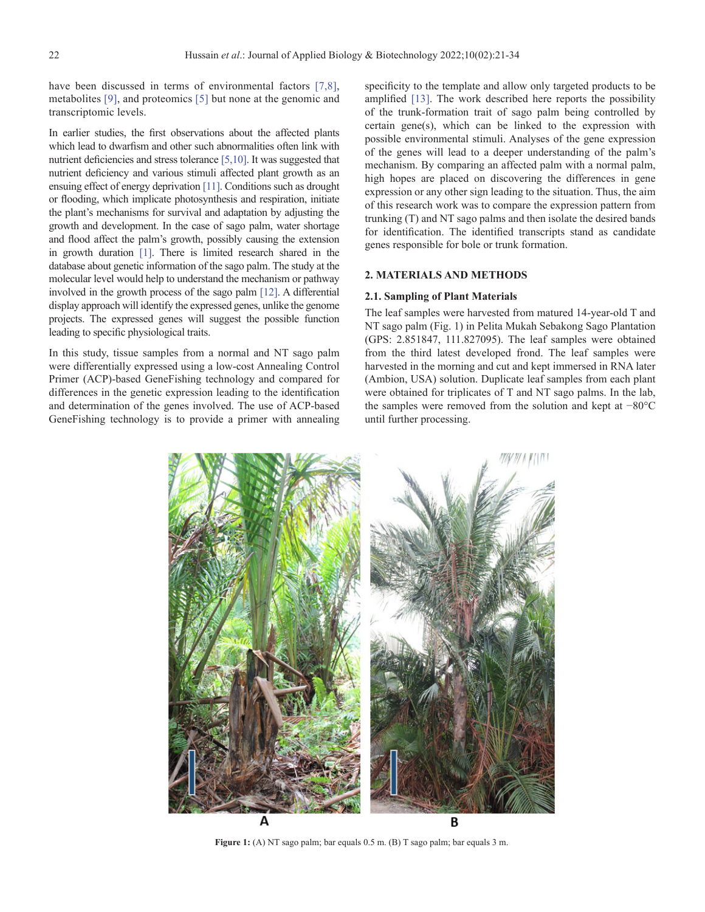have been discussed in terms of environmental factors [\[7,8\],](#page-11-0) metabolites [\[9\],](#page-12-0) and proteomics [\[5\]](#page-11-0) but none at the genomic and transcriptomic levels.

In earlier studies, the first observations about the affected plants which lead to dwarfism and other such abnormalities often link with nutrient deficiencies and stress tolerance [\[5,](#page-11-0)[10\]](#page-12-0). It was suggested that nutrient deficiency and various stimuli affected plant growth as an ensuing effect of energy deprivation [\[11\].](#page-12-0) Conditions such as drought or flooding, which implicate photosynthesis and respiration, initiate the plant's mechanisms for survival and adaptation by adjusting the growth and development. In the case of sago palm, water shortage and flood affect the palm's growth, possibly causing the extension in growth duration [\[1\].](#page-11-0) There is limited research shared in the database about genetic information of the sago palm. The study at the molecular level would help to understand the mechanism or pathway involved in the growth process of the sago palm [\[12\]](#page-12-0). A differential display approach will identify the expressed genes, unlike the genome projects. The expressed genes will suggest the possible function leading to specific physiological traits.

In this study, tissue samples from a normal and NT sago palm were differentially expressed using a low-cost Annealing Control Primer (ACP)-based GeneFishing technology and compared for differences in the genetic expression leading to the identification and determination of the genes involved. The use of ACP-based GeneFishing technology is to provide a primer with annealing specificity to the template and allow only targeted products to be amplified [\[13\]](#page-12-0). The work described here reports the possibility of the trunk-formation trait of sago palm being controlled by certain gene(s), which can be linked to the expression with possible environmental stimuli. Analyses of the gene expression of the genes will lead to a deeper understanding of the palm's mechanism. By comparing an affected palm with a normal palm, high hopes are placed on discovering the differences in gene expression or any other sign leading to the situation. Thus, the aim of this research work was to compare the expression pattern from trunking (T) and NT sago palms and then isolate the desired bands for identification. The identified transcripts stand as candidate genes responsible for bole or trunk formation.

## **2. MATERIALS AND METHODS**

#### **2.1. Sampling of Plant Materials**

The leaf samples were harvested from matured 14-year-old T and NT sago palm (Fig. 1) in Pelita Mukah Sebakong Sago Plantation (GPS: 2.851847, 111.827095). The leaf samples were obtained from the third latest developed frond. The leaf samples were harvested in the morning and cut and kept immersed in RNA later (Ambion, USA) solution. Duplicate leaf samples from each plant were obtained for triplicates of T and NT sago palms. In the lab, the samples were removed from the solution and kept at −80°C until further processing.



**Figure 1:** (A) NT sago palm; bar equals 0.5 m. (B) T sago palm; bar equals 3 m.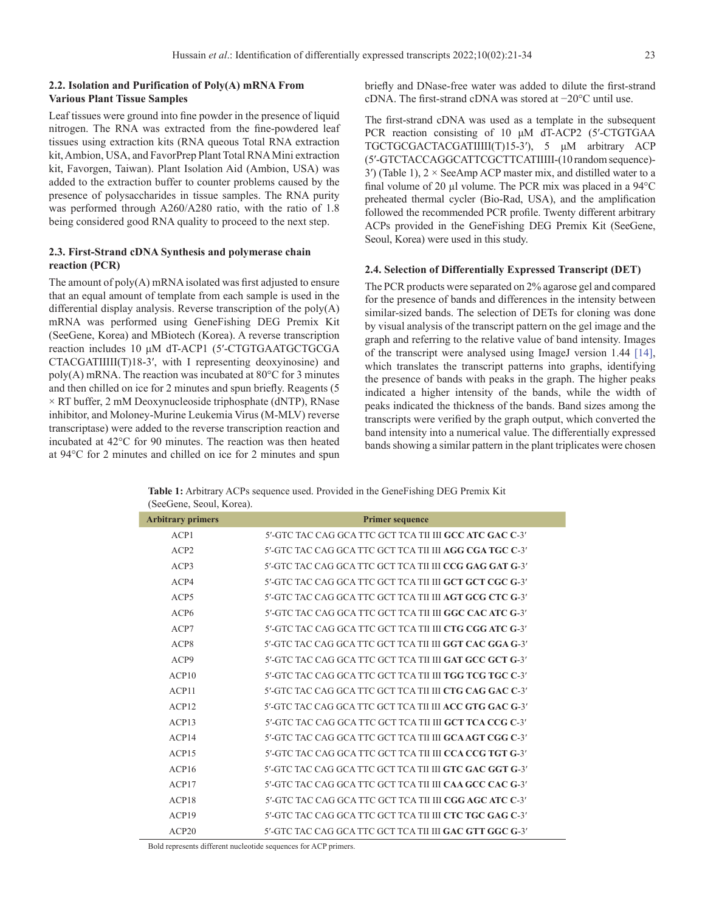# **2.2. Isolation and Purification of Poly(A) mRNA From Various Plant Tissue Samples**

Leaf tissues were ground into fine powder in the presence of liquid nitrogen. The RNA was extracted from the fine-powdered leaf tissues using extraction kits (RNA queous Total RNA extraction kit, Ambion, USA, and FavorPrep Plant Total RNA Mini extraction kit, Favorgen, Taiwan). Plant Isolation Aid (Ambion, USA) was added to the extraction buffer to counter problems caused by the presence of polysaccharides in tissue samples. The RNA purity was performed through A260/A280 ratio, with the ratio of 1.8 being considered good RNA quality to proceed to the next step.

# **2.3. First-Strand cDNA Synthesis and polymerase chain reaction (PCR)**

The amount of poly(A) mRNA isolated was first adjusted to ensure that an equal amount of template from each sample is used in the differential display analysis. Reverse transcription of the poly(A) mRNA was performed using GeneFishing DEG Premix Kit (SeeGene, Korea) and MBiotech (Korea). A reverse transcription reaction includes 10 μM dT-ACP1 (5ʹ-CTGTGAATGCTGCGA CTACGATIIIII(T)18-3ʹ, with I representing deoxyinosine) and poly(A) mRNA. The reaction was incubated at 80°C for 3 minutes and then chilled on ice for 2 minutes and spun briefly. Reagents (5  $\times$  RT buffer, 2 mM Deoxynucleoside triphosphate (dNTP), RNase inhibitor, and Moloney-Murine Leukemia Virus (M-MLV) reverse transcriptase) were added to the reverse transcription reaction and incubated at 42°C for 90 minutes. The reaction was then heated at 94°C for 2 minutes and chilled on ice for 2 minutes and spun briefly and DNase-free water was added to dilute the first-strand cDNA. The first-strand cDNA was stored at −20°C until use.

The first-strand cDNA was used as a template in the subsequent PCR reaction consisting of 10 μM dT-ACP2 (5ʹ-CTGTGAA TGCTGCGACTACGATIIIII(T)15-3ʹ), 5 μM arbitrary ACP (5ʹ-GTCTACCAGGCATTCGCTTCATIIIII-(10 random sequence)- 3<sup>'</sup>) (Table 1),  $2 \times$  SeeAmp ACP master mix, and distilled water to a final volume of 20 µl volume. The PCR mix was placed in a 94°C preheated thermal cycler (Bio-Rad, USA), and the amplification followed the recommended PCR profile. Twenty different arbitrary ACPs provided in the GeneFishing DEG Premix Kit (SeeGene, Seoul, Korea) were used in this study.

#### **2.4. Selection of Differentially Expressed Transcript (DET)**

The PCR products were separated on 2% agarose gel and compared for the presence of bands and differences in the intensity between similar-sized bands. The selection of DETs for cloning was done by visual analysis of the transcript pattern on the gel image and the graph and referring to the relative value of band intensity. Images of the transcript were analysed using ImageJ version 1.44 [\[14\]](#page-12-0), which translates the transcript patterns into graphs, identifying the presence of bands with peaks in the graph. The higher peaks indicated a higher intensity of the bands, while the width of peaks indicated the thickness of the bands. Band sizes among the transcripts were verified by the graph output, which converted the band intensity into a numerical value. The differentially expressed bands showing a similar pattern in the plant triplicates were chosen

**Table 1:** Arbitrary ACPs sequence used. Provided in the GeneFishing DEG Premix Kit (SeeGene, Seoul, Korea).

| <b>Arbitrary primers</b> | <b>Primer sequence</b>                                          |
|--------------------------|-----------------------------------------------------------------|
| ACP1                     | 5'-GTC TAC CAG GCA TTC GCT TCA TII III GCC ATC GAC C-3'         |
| ACP2                     | 5'-GTC TAC CAG GCA TTC GCT TCA TII III AGG CGA TGC C-3'         |
| ACP3                     | 5'-GTC TAC CAG GCA TTC GCT TCA TILIII CCG GAG GAT G-3'          |
| ACP4                     | 5'-GTC TAC CAG GCA TTC GCT TCA TILIH <b>GCT GCT CGC G-3'</b>    |
| ACP5                     | 5'-GTC TAC CAG GCA TTC GCT TCA TILIII A <b>GT GCG CTC G-3'</b>  |
| ACP6                     | 5'-GTC TAC CAG GCA TTC GCT TCA TII III <b>GGC CAC ATC G-3</b> ' |
| ACP7                     | 5'-GTC TAC CAG GCA TTC GCT TCA TILIII <b>CTG CGG ATC G-3'</b>   |
| ACP8                     | 5'-GTC TAC CAG GCA TTC GCT TCA TILIII GGT CAC GGA G-3'          |
| ACP9                     | 5'-GTC TAC CAG GCA TTC GCT TCA TILIII GAT GCC GCT G-3'          |
| ACP10                    | 5'-GTC TAC CAG GCA TTC GCT TCA TII III TGG TCG TGC C-3'         |
| ACP11                    | 5'-GTC TAC CAG GCA TTC GCT TCA TILIII CTG CAG GAC C-3'          |
| ACP12                    | 5'-GTC TAC CAG GCA TTC GCT TCA TILIII ACC GTG GAC G-3'          |
| ACP13                    | 5'-GTC TAC CAG GCA TTC GCT TCA TII III <b>GCT TCA CCG C-3</b> ' |
| ACP14                    | 5'-GTC TAC CAG GCA TTC GCT TCA TILIII GCA AGT CGG C-3'          |
| ACP15                    | 5'-GTC TAC CAG GCA TTC GCT TCA TILIII CCA CCG TGT G-3'          |
| ACP16                    | 5'-GTC TAC CAG GCA TTC GCT TCA TII III GTC GAC GGT G-3'         |
| ACP17                    | 5'-GTC TAC CAG GCA TTC GCT TCA TII III CAA GCC CAC G-3'         |
| ACP18                    | 5'-GTC TAC CAG GCA TTC GCT TCA TII III CGG AGC ATC C-3'         |
| ACP19                    | 5'-GTC TAC CAG GCA TTC GCT TCA TILIII <b>CTC TGC GAG C-3'</b>   |
| ACP20                    | 5'-GTC TAC CAG GCA TTC GCT TCA TII III <b>GAC GTT GGC G-3'</b>  |

Bold represents different nucleotide sequences for ACP primers.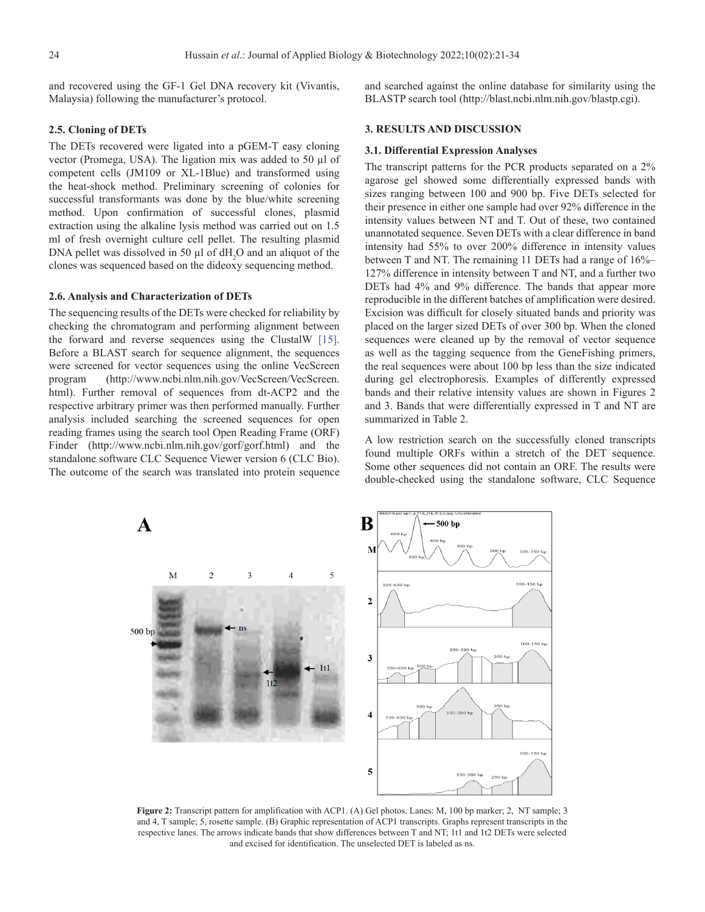and recovered using the GF-1 Gel DNA recovery kit (Vivantis, Malaysia) following the manufacturer's protocol.

# **2.5. Cloning of DETs**

The DETs recovered were ligated into a pGEM-T easy cloning vector (Promega, USA). The ligation mix was added to 50 µl of competent cells (JM109 or XL-1Blue) and transformed using the heat-shock method. Preliminary screening of colonies for successful transformants was done by the blue/white screening method. Upon confirmation of successful clones, plasmid extraction using the alkaline lysis method was carried out on 1.5 ml of fresh overnight culture cell pellet. The resulting plasmid DNA pellet was dissolved in 50  $\mu$ l of dH<sub>2</sub>O and an aliquot of the clones was sequenced based on the dideoxy sequencing method.

#### **2.6. Analysis and Characterization of DETs**

The sequencing results of the DETs were checked for reliability by checking the chromatogram and performing alignment between the forward and reverse sequences using the ClustalW [\[15\].](#page-12-0) Before a BLAST search for sequence alignment, the sequences were screened for vector sequences using the online VecScreen program (http://www.ncbi.nlm.nih.gov/VecScreen/VecScreen. html). Further removal of sequences from dt-ACP2 and the respective arbitrary primer was then performed manually. Further analysis included searching the screened sequences for open reading frames using the search tool Open Reading Frame (ORF) Finder (http://www.ncbi.nlm.nih.gov/gorf/gorf.html) and the standalone software CLC Sequence Viewer version 6 (CLC Bio). The outcome of the search was translated into protein sequence and searched against the online database for similarity using the BLASTP search tool (http://blast.ncbi.nlm.nih.gov/blastp.cgi).

#### **3. RESULTS AND DISCUSSION**

## **3.1. Differential Expression Analyses**

The transcript patterns for the PCR products separated on a 2% agarose gel showed some differentially expressed bands with sizes ranging between 100 and 900 bp. Five DETs selected for their presence in either one sample had over 92% difference in the intensity values between NT and T. Out of these, two contained unannotated sequence. Seven DETs with a clear difference in band intensity had 55% to over 200% difference in intensity values between T and NT. The remaining 11 DETs had a range of 16%– 127% difference in intensity between T and NT, and a further two DETs had 4% and 9% difference. The bands that appear more reproducible in the different batches of amplification were desired. Excision was difficult for closely situated bands and priority was placed on the larger sized DETs of over 300 bp. When the cloned sequences were cleaned up by the removal of vector sequence as well as the tagging sequence from the GeneFishing primers, the real sequences were about 100 bp less than the size indicated during gel electrophoresis. Examples of differently expressed bands and their relative intensity values are shown in Figures 2 and 3. Bands that were differentially expressed in T and NT are summarized in [Table 2](#page-4-0).

A low restriction search on the successfully cloned transcripts found multiple ORFs within a stretch of the DET sequence. Some other sequences did not contain an ORF. The results were double-checked using the standalone software, CLC Sequence



**Figure 2:** Transcript pattern for amplification with ACP1. (A) Gel photos. Lanes: M, 100 bp marker; 2, NT sample; 3 and 4, T sample; 5, rosette sample. (B) Graphic representation of ACP1 transcripts. Graphs represent transcripts in the respective lanes. The arrows indicate bands that show differences between T and NT; 1t1 and 1t2 DETs were selected and excised for identification. The unselected DET is labeled as ns.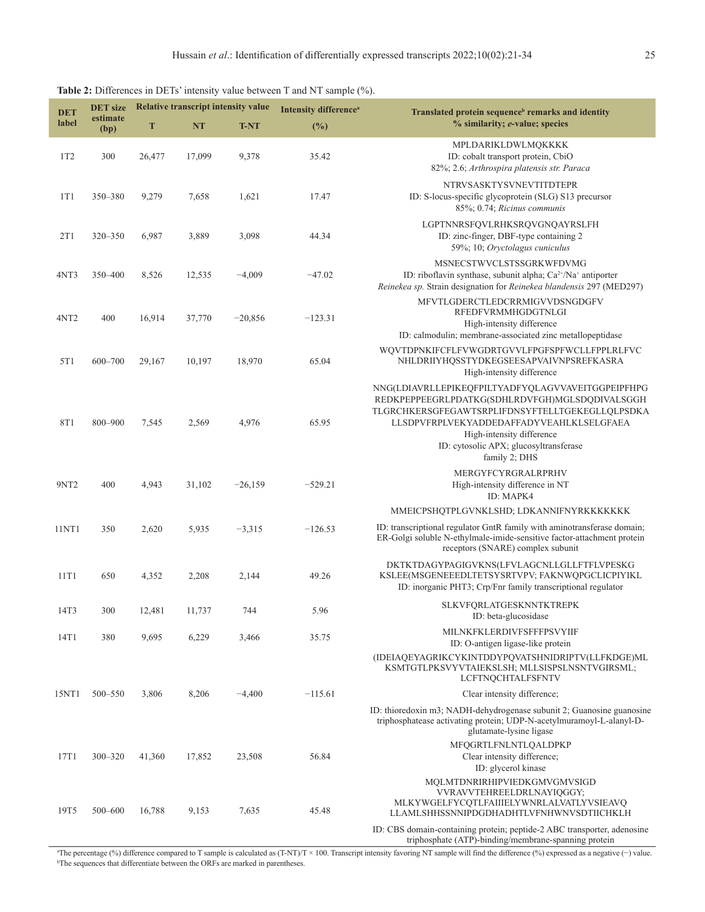| <b>DET</b>       | <b>DET</b> size  | <b>Relative transcript intensity value</b> |           | <b>Intensity difference</b> <sup>a</sup> | Translated protein sequence <sup>b</sup> remarks and identity |                                                                                                                                                                                                                                                                                            |
|------------------|------------------|--------------------------------------------|-----------|------------------------------------------|---------------------------------------------------------------|--------------------------------------------------------------------------------------------------------------------------------------------------------------------------------------------------------------------------------------------------------------------------------------------|
| label            | estimate<br>(bp) | T                                          | <b>NT</b> | <b>T-NT</b>                              | (%)                                                           | % similarity; e-value; species                                                                                                                                                                                                                                                             |
| 1T2              | 300              | 26,477                                     | 17,099    | 9,378                                    | 35.42                                                         | MPLDARIKLDWLMQKKKK<br>ID: cobalt transport protein, CbiO<br>82%; 2.6; Arthrospira platensis str. Paraca                                                                                                                                                                                    |
| 1T1              | 350-380          | 9,279                                      | 7,658     | 1,621                                    | 17.47                                                         | <b>NTRVSASKTYSVNEVTITDTEPR</b><br>ID: S-locus-specific glycoprotein (SLG) S13 precursor<br>85%; 0.74; Ricinus communis                                                                                                                                                                     |
| 2T1              | 320 - 350        | 6,987                                      | 3,889     | 3,098                                    | 44.34                                                         | LGPTNNRSFQVLRHKSRQVGNQAYRSLFH<br>ID: zinc-finger, DBF-type containing 2<br>59%; 10; Oryctolagus cuniculus                                                                                                                                                                                  |
| 4NT3             | 350-400          | 8,526                                      | 12,535    | $-4,009$                                 | $-47.02$                                                      | MSNECSTWVCLSTSSGRKWFDVMG<br>ID: riboflavin synthase, subunit alpha; $Ca^{2+}/Na^{+}$ antiporter<br>Reinekea sp. Strain designation for Reinekea blandensis 297 (MED297)                                                                                                                    |
| 4NT <sub>2</sub> | 400              | 16,914                                     | 37,770    | $-20,856$                                | $-123.31$                                                     | MFVTLGDERCTLEDCRRMIGVVDSNGDGFV<br>RFEDFVRMMHGDGTNLGI<br>High-intensity difference<br>ID: calmodulin; membrane-associated zinc metallopeptidase                                                                                                                                             |
| 5T1              | $600 - 700$      | 29,167                                     | 10,197    | 18,970                                   | 65.04                                                         | WQVTDPNKIFCFLFVWGDRTGVVLFPGFSPFWCLLFPPLRLFVC<br>NHLDRIIYHQSSTYDKEGSEESAPVAIVNPSREFKASRA<br>High-intensity difference                                                                                                                                                                       |
| 8T1              | 800-900          | 7,545                                      | 2,569     | 4,976                                    | 65.95                                                         | NNG(LDIAVRLLEPIKEQFPILTYADFYQLAGVVAVEITGGPEIPFHPG<br>REDKPEPPEEGRLPDATKG(SDHLRDVFGH)MGLSDQDIVALSGGH<br>TLGRCHKERSGFEGAWTSRPLIFDNSYFTELLTGEKEGLLQLPSDKA<br>LLSDPVFRPLVEKYADDEDAFFADYVEAHLKLSELGFAEA<br>High-intensity difference<br>ID: cytosolic APX; glucosyltransferase<br>family 2; DHS |
| 9NT <sub>2</sub> | 400              | 4,943                                      | 31,102    | $-26,159$                                | $-529.21$                                                     | MERGYFCYRGRALRPRHV<br>High-intensity difference in NT<br>ID: MAPK4                                                                                                                                                                                                                         |
|                  |                  |                                            |           |                                          |                                                               | MMEICPSHQTPLGVNKLSHD; LDKANNIFNYRKKKKKKKK                                                                                                                                                                                                                                                  |
| 11NT1            | 350              | 2,620                                      | 5,935     | $-3,315$                                 | $-126.53$                                                     | ID: transcriptional regulator GntR family with aminotransferase domain;<br>ER-Golgi soluble N-ethylmale-imide-sensitive factor-attachment protein<br>receptors (SNARE) complex subunit                                                                                                     |
| 11T1             | 650              | 4,352                                      | 2,208     | 2,144                                    | 49.26                                                         | DKTKTDAGYPAGIGVKNS(LFVLAGCNLLGLLFTFLVPESKG<br>KSLEE(MSGENEEEDLTETSYSRTVPV; FAKNWQPGCLICPIYIKL<br>ID: inorganic PHT3; Crp/Fnr family transcriptional regulator                                                                                                                              |
| 14T3             | 300              | 12,481                                     | 11,737    | 744                                      | 5.96                                                          | SLKVFQRLATGESKNNTKTREPK<br>ID: beta-glucosidase                                                                                                                                                                                                                                            |
| 14T1             | 380              | 9,695                                      | 6,229     | 3,466                                    | 35.75                                                         | MILNKFKLERDIVFSFFFPSVYIIF<br>ID: O-antigen ligase-like protein                                                                                                                                                                                                                             |
|                  |                  |                                            |           |                                          |                                                               | (IDEIAQEYAGRIKCYKINTDDYPQVATSHNIDRIPTV(LLFKDGE)ML<br>KSMTGTLPKSVYVTAIEKSLSH; MLLSISPSLNSNTVGIRSML;<br>LCFTNQCHTALFSFNTV                                                                                                                                                                    |
| 15NT1            | 500-550          | 3,806                                      | 8,206     | $-4,400$                                 | $-115.61$                                                     | Clear intensity difference;                                                                                                                                                                                                                                                                |
|                  |                  |                                            |           |                                          |                                                               | ID: thioredoxin m3; NADH-dehydrogenase subunit 2; Guanosine guanosine<br>triphosphatease activating protein; UDP-N-acetylmuramoyl-L-alanyl-D-<br>glutamate-lysine ligase                                                                                                                   |
| 17T1             | $300 - 320$      | 41,360                                     | 17,852    | 23,508                                   | 56.84                                                         | MFQGRTLFNLNTLQALDPKP<br>Clear intensity difference;<br>ID: glycerol kinase<br>MQLMTDNRIRHIPVIEDKGMVGMVSIGD                                                                                                                                                                                 |
| 19T5             | 500-600          | 16,788                                     | 9,153     | 7,635                                    | 45.48                                                         | VVRAVVTEHREELDRLNAYIQGGY;<br>MLKYWGELFYCQTLFAIIIELYWNRLALVATLYVSIEAVQ<br>LLAMLSHHSSNNIPDGDHADHTLVFNHWNVSDTIICHKLH                                                                                                                                                                          |

<span id="page-4-0"></span>**Table 2:** Differences in DETs' intensity value between T and NT sample (%).

a The percentage (%) difference compared to T sample is calculated as (T-NT)/T × 100. Transcript intensity favoring NT sample will find the difference (%) expressed as a negative (−) value. b The sequences that differentiate between the ORFs are marked in parentheses.

ID: CBS domain-containing protein; peptide-2 ABC transporter, adenosine triphosphate (ATP)-binding/membrane-spanning protein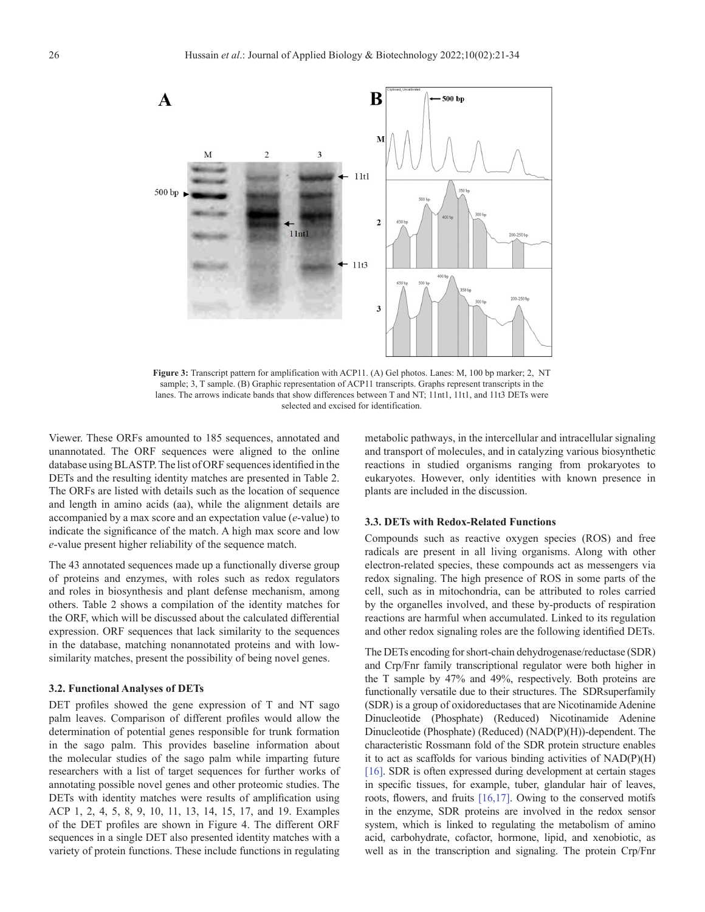

**Figure 3:** Transcript pattern for amplification with ACP11. (A) Gel photos. Lanes: M, 100 bp marker; 2, NT sample; 3, T sample. (B) Graphic representation of ACP11 transcripts. Graphs represent transcripts in the lanes. The arrows indicate bands that show differences between T and NT; 11nt1, 11t1, and 11t3 DETs were selected and excised for identification.

Viewer. These ORFs amounted to 185 sequences, annotated and unannotated. The ORF sequences were aligned to the online database using BLASTP. The list of ORF sequences identified in the DETs and the resulting identity matches are presented in [Table](#page-4-0) 2. The ORFs are listed with details such as the location of sequence and length in amino acids (aa), while the alignment details are accompanied by a max score and an expectation value (*e*-value) to indicate the significance of the match. A high max score and low *e*-value present higher reliability of the sequence match.

The 43 annotated sequences made up a functionally diverse group of proteins and enzymes, with roles such as redox regulators and roles in biosynthesis and plant defense mechanism, among others. [Table 2](#page-4-0) shows a compilation of the identity matches for the ORF, which will be discussed about the calculated differential expression. ORF sequences that lack similarity to the sequences in the database, matching nonannotated proteins and with lowsimilarity matches, present the possibility of being novel genes.

# **3.2. Functional Analyses of DETs**

DET profiles showed the gene expression of T and NT sago palm leaves. Comparison of different profiles would allow the determination of potential genes responsible for trunk formation in the sago palm. This provides baseline information about the molecular studies of the sago palm while imparting future researchers with a list of target sequences for further works of annotating possible novel genes and other proteomic studies. The DETs with identity matches were results of amplification using ACP 1, 2, 4, 5, 8, 9, 10, 11, 13, 14, 15, 17, and 19. Examples of the DET profiles are shown in [Figure 4.](#page-6-0) The different ORF sequences in a single DET also presented identity matches with a variety of protein functions. These include functions in regulating

metabolic pathways, in the intercellular and intracellular signaling and transport of molecules, and in catalyzing various biosynthetic reactions in studied organisms ranging from prokaryotes to eukaryotes. However, only identities with known presence in plants are included in the discussion.

#### **3.3. DETs with Redox-Related Functions**

Compounds such as reactive oxygen species (ROS) and free radicals are present in all living organisms. Along with other electron-related species, these compounds act as messengers via redox signaling. The high presence of ROS in some parts of the cell, such as in mitochondria, can be attributed to roles carried by the organelles involved, and these by-products of respiration reactions are harmful when accumulated. Linked to its regulation and other redox signaling roles are the following identified DETs.

The DETs encoding for short-chain dehydrogenase/reductase (SDR) and Crp/Fnr family transcriptional regulator were both higher in the T sample by 47% and 49%, respectively. Both proteins are functionally versatile due to their structures. The SDRsuperfamily (SDR) is a group of oxidoreductases that are Nicotinamide Adenine Dinucleotide (Phosphate) (Reduced) Nicotinamide Adenine Dinucleotide (Phosphate) (Reduced) (NAD(P)(H))-dependent. The characteristic Rossmann fold of the SDR protein structure enables it to act as scaffolds for various binding activities of NAD(P)(H) [\[16\].](#page-12-0) SDR is often expressed during development at certain stages in specific tissues, for example, tuber, glandular hair of leaves, roots, flowers, and fruits [\[16,17\].](#page-12-0) Owing to the conserved motifs in the enzyme, SDR proteins are involved in the redox sensor system, which is linked to regulating the metabolism of amino acid, carbohydrate, cofactor, hormone, lipid, and xenobiotic, as well as in the transcription and signaling. The protein Crp/Fnr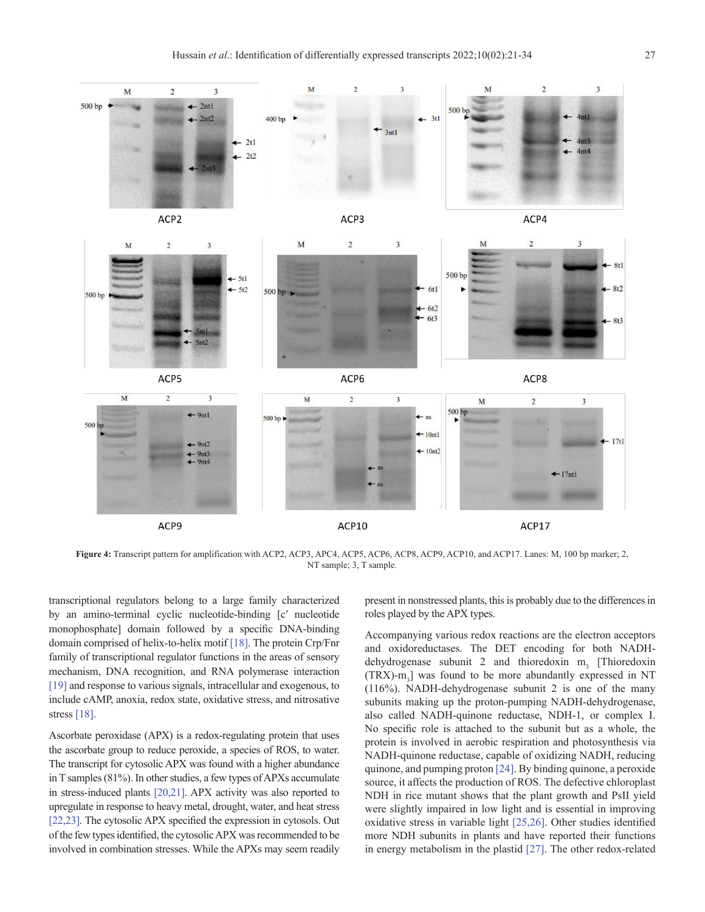<span id="page-6-0"></span>

Figure 4: Transcript pattern for amplification with ACP2, ACP3, APC4, ACP5, ACP6, ACP8, ACP9, ACP10, and ACP17. Lanes: M, 100 bp marker; 2, NT sample; 3, T sample.

transcriptional regulators belong to a large family characterized by an amino-terminal cyclic nucleotide-binding [cʹ nucleotide monophosphate] domain followed by a specific DNA-binding domain comprised of helix-to-helix motif [\[18\]](#page-12-0). The protein Crp/Fnr family of transcriptional regulator functions in the areas of sensory mechanism, DNA recognition, and RNA polymerase interaction [\[19\]](#page-12-0) and response to various signals, intracellular and exogenous, to include cAMP, anoxia, redox state, oxidative stress, and nitrosative stress [\[18\]](#page-12-0).

Ascorbate peroxidase (APX) is a redox-regulating protein that uses the ascorbate group to reduce peroxide, a species of ROS, to water. The transcript for cytosolic APX was found with a higher abundance in T samples (81%). In other studies, a few types of APXs accumulate in stress-induced plants [\[20,21\]](#page-12-0). APX activity was also reported to upregulate in response to heavy metal, drought, water, and heat stress [\[22,23\]](#page-12-0). The cytosolic APX specified the expression in cytosols. Out of the few types identified, the cytosolic APX was recommended to be involved in combination stresses. While the APXs may seem readily

present in nonstressed plants, this is probably due to the differences in roles played by the APX types.

Accompanying various redox reactions are the electron acceptors and oxidoreductases. The DET encoding for both NADHdehydrogenase subunit 2 and thioredoxin  $m<sub>3</sub>$  [Thioredoxin  $(TRX)$ -m<sub>3</sub>] was found to be more abundantly expressed in NT (116%). NADH-dehydrogenase subunit 2 is one of the many subunits making up the proton-pumping NADH-dehydrogenase, also called NADH-quinone reductase, NDH-1, or complex I. No specific role is attached to the subunit but as a whole, the protein is involved in aerobic respiration and photosynthesis via NADH-quinone reductase, capable of oxidizing NADH, reducing quinone, and pumping proton [\[24\]](#page-12-0). By binding quinone, a peroxide source, it affects the production of ROS. The defective chloroplast NDH in rice mutant shows that the plant growth and PsII yield were slightly impaired in low light and is essential in improving oxidative stress in variable light [\[25,26\]](#page-12-0). Other studies identified more NDH subunits in plants and have reported their functions in energy metabolism in the plastid [\[27\].](#page-12-0) The other redox-related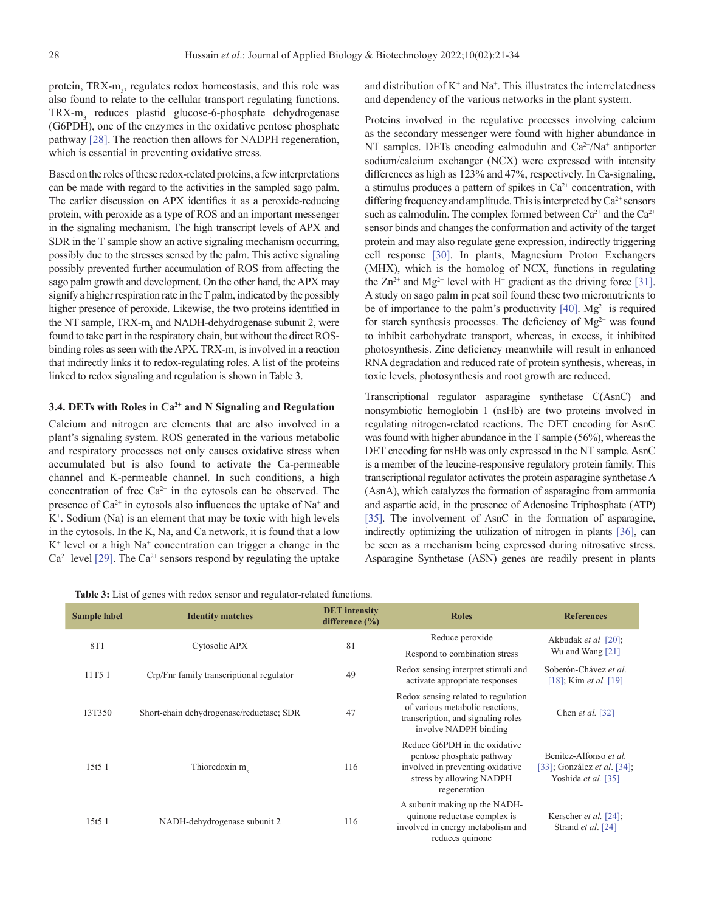protein, TRX-m<sub>3</sub>, regulates redox homeostasis, and this role was also found to relate to the cellular transport regulating functions. TRX-m<sub>3</sub> reduces plastid glucose-6-phosphate dehydrogenase (G6PDH), one of the enzymes in the oxidative pentose phosphate pathway [\[28\]](#page-12-0). The reaction then allows for NADPH regeneration, which is essential in preventing oxidative stress.

Based on the roles of these redox-related proteins, a few interpretations can be made with regard to the activities in the sampled sago palm. The earlier discussion on APX identifies it as a peroxide-reducing protein, with peroxide as a type of ROS and an important messenger in the signaling mechanism. The high transcript levels of APX and SDR in the T sample show an active signaling mechanism occurring, possibly due to the stresses sensed by the palm. This active signaling possibly prevented further accumulation of ROS from affecting the sago palm growth and development. On the other hand, the APX may signify a higher respiration rate in the T palm, indicated by the possibly higher presence of peroxide. Likewise, the two proteins identified in the NT sample, TRX-m<sub>3</sub> and NADH-dehydrogenase subunit 2, were found to take part in the respiratory chain, but without the direct ROSbinding roles as seen with the APX. TRX- $m<sub>3</sub>$  is involved in a reaction that indirectly links it to redox-regulating roles. A list of the proteins linked to redox signaling and regulation is shown in Table 3.

#### **3.4. DETs with Roles in Ca2+ and N Signaling and Regulation**

Calcium and nitrogen are elements that are also involved in a plant's signaling system. ROS generated in the various metabolic and respiratory processes not only causes oxidative stress when accumulated but is also found to activate the Ca-permeable channel and K-permeable channel. In such conditions, a high concentration of free  $Ca^{2+}$  in the cytosols can be observed. The presence of  $Ca^{2+}$  in cytosols also influences the uptake of Na<sup>+</sup> and K+ . Sodium (Na) is an element that may be toxic with high levels in the cytosols. In the K, Na, and Ca network, it is found that a low  $K^+$  level or a high  $Na^+$  concentration can trigger a change in the  $Ca^{2+}$  level [\[29\]](#page-12-0). The  $Ca^{2+}$  sensors respond by regulating the uptake

and distribution of  $K^+$  and  $Na^+$ . This illustrates the interrelatedness and dependency of the various networks in the plant system.

Proteins involved in the regulative processes involving calcium as the secondary messenger were found with higher abundance in NT samples. DETs encoding calmodulin and Ca<sup>2+</sup>/Na<sup>+</sup> antiporter sodium/calcium exchanger (NCX) were expressed with intensity differences as high as 123% and 47%, respectively. In Ca-signaling, a stimulus produces a pattern of spikes in  $Ca<sup>2+</sup>$  concentration, with differing frequency and amplitude. This is interpreted by  $Ca^{2+}$  sensors such as calmodulin. The complex formed between  $Ca^{2+}$  and the  $Ca^{2+}$ sensor binds and changes the conformation and activity of the target protein and may also regulate gene expression, indirectly triggering cell response [\[30\]](#page-12-0). In plants, Magnesium Proton Exchangers (MHX), which is the homolog of NCX, functions in regulating the  $Zn^{2+}$  and Mg<sup>2+</sup> level with H<sup>+</sup> gradient as the driving force [\[31\]](#page-12-0). A study on sago palm in peat soil found these two micronutrients to be of importance to the palm's productivity  $[40]$ . Mg<sup>2+</sup> is required for starch synthesis processes. The deficiency of  $Mg^{2+}$  was found to inhibit carbohydrate transport, whereas, in excess, it inhibited photosynthesis. Zinc deficiency meanwhile will result in enhanced RNA degradation and reduced rate of protein synthesis, whereas, in toxic levels, photosynthesis and root growth are reduced.

Transcriptional regulator asparagine synthetase C(AsnC) and nonsymbiotic hemoglobin 1 (nsHb) are two proteins involved in regulating nitrogen-related reactions. The DET encoding for AsnC was found with higher abundance in the T sample (56%), whereas the DET encoding for nsHb was only expressed in the NT sample. AsnC is a member of the leucine-responsive regulatory protein family. This transcriptional regulator activates the protein asparagine synthetase A (AsnA), which catalyzes the formation of asparagine from ammonia and aspartic acid, in the presence of Adenosine Triphosphate (ATP) [\[35\]](#page-12-0). The involvement of AsnC in the formation of asparagine, indirectly optimizing the utilization of nitrogen in plants [\[36\],](#page-12-0) can be seen as a mechanism being expressed during nitrosative stress. Asparagine Synthetase (ASN) genes are readily present in plants

**Table 3:** List of genes with redox sensor and regulator-related functions.

| Sample label | <b>Identity matches</b>                  | <b>DET</b> intensity<br>difference $(\% )$ | <b>Roles</b>                                                                                                                               | <b>References</b>                                                                   |  |
|--------------|------------------------------------------|--------------------------------------------|--------------------------------------------------------------------------------------------------------------------------------------------|-------------------------------------------------------------------------------------|--|
| 8T1          | Cytosolic APX                            | 81                                         | Reduce peroxide                                                                                                                            | Akbudak et al [20];<br>Wu and Wang $[21]$                                           |  |
|              |                                          |                                            | Respond to combination stress                                                                                                              |                                                                                     |  |
| 11T5 1       | Crp/Fnr family transcriptional regulator | 49                                         | Redox sensing interpret stimuli and<br>activate appropriate responses                                                                      | Soberón-Chávez et al.<br>[18]; Kim <i>et al.</i> [19]                               |  |
| 13T350       | Short-chain dehydrogenase/reductase; SDR | 47                                         | Redox sensing related to regulation<br>of various metabolic reactions.<br>transcription, and signaling roles<br>involve NADPH binding      | Chen et al. $[32]$                                                                  |  |
| 15t5 1       | Thioredoxin m,                           | 116                                        | Reduce G6PDH in the oxidative<br>pentose phosphate pathway<br>involved in preventing oxidative<br>stress by allowing NADPH<br>regeneration | Benitez-Alfonso et al.<br>[33]; González <i>et al.</i> [34];<br>Yoshida et al. [35] |  |
| 15t51        | NADH-dehydrogenase subunit 2             | 116                                        | A subunit making up the NADH-<br>quinone reductase complex is<br>involved in energy metabolism and<br>reduces quinone                      | Kerscher <i>et al.</i> [24];<br>Strand et al. [24]                                  |  |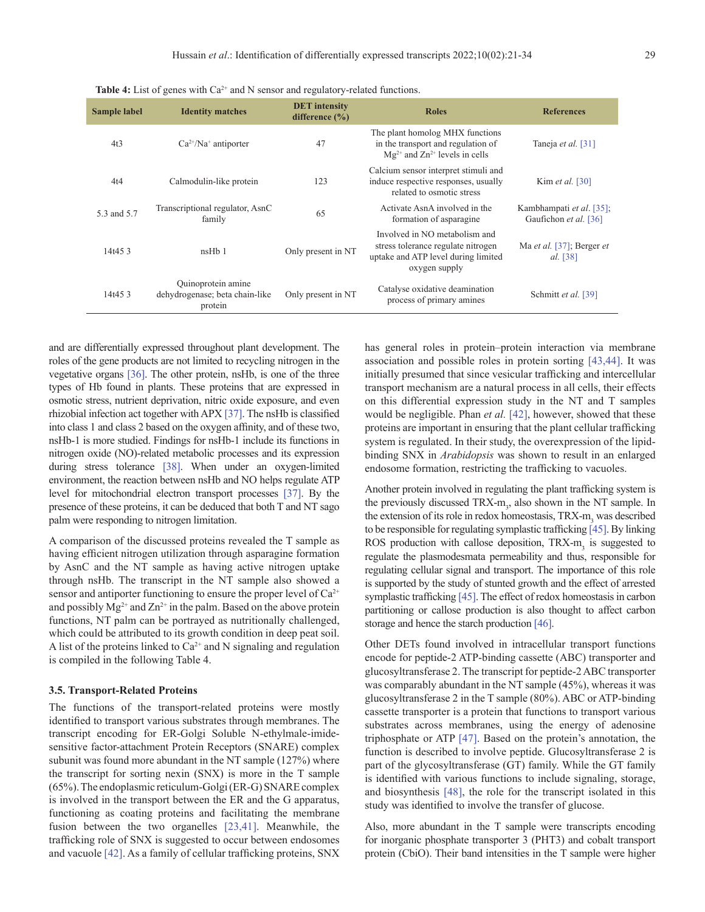| <b>Sample label</b> | <b>Identity matches</b>                                         | <b>DET</b> intensity<br>difference $(\% )$ | <b>Roles</b>                                                                                                                | <b>References</b>                                 |
|---------------------|-----------------------------------------------------------------|--------------------------------------------|-----------------------------------------------------------------------------------------------------------------------------|---------------------------------------------------|
| 4t3                 | $Ca^{2+}/Na^{+}$ antiporter                                     | 47                                         | The plant homolog MHX functions<br>in the transport and regulation of<br>$Mg^{2+}$ and $Zn^{2+}$ levels in cells            | Taneja et al. [31]                                |
| 4t4                 | Calmodulin-like protein                                         | 123                                        | Calcium sensor interpret stimuli and<br>induce respective responses, usually<br>related to osmotic stress                   | Kim et al. $[30]$                                 |
| 5.3 and 5.7         | Transcriptional regulator, AsnC<br>family                       | 65                                         | Activate AsnA involved in the<br>formation of asparagine                                                                    | Kambhampati et al. [35];<br>Gaufichon et al. [36] |
| 14t453              | $n$ sH $b$ 1                                                    | Only present in NT                         | Involved in NO metabolism and<br>stress tolerance regulate nitrogen<br>uptake and ATP level during limited<br>oxygen supply | Ma et al. [37]; Berger et<br>al. [38]             |
| 14t453              | Quinoprotein amine<br>dehydrogenase; beta chain-like<br>protein | Only present in NT                         | Catalyse oxidative deamination<br>process of primary amines                                                                 | Schmitt et al. [39]                               |

Table 4: List of genes with Ca<sup>2+</sup> and N sensor and regulatory-related functions.

and are differentially expressed throughout plant development. The roles of the gene products are not limited to recycling nitrogen in the vegetative organs [\[36\].](#page-12-0) The other protein, nsHb, is one of the three types of Hb found in plants. These proteins that are expressed in osmotic stress, nutrient deprivation, nitric oxide exposure, and even rhizobial infection act together with APX [\[37\]](#page-12-0). The nsHb is classified into class 1 and class 2 based on the oxygen affinity, and of these two, nsHb-1 is more studied. Findings for nsHb-1 include its functions in nitrogen oxide (NO)-related metabolic processes and its expression during stress tolerance [\[38\].](#page-12-0) When under an oxygen-limited environment, the reaction between nsHb and NO helps regulate ATP level for mitochondrial electron transport processes [\[37\].](#page-12-0) By the presence of these proteins, it can be deduced that both T and NT sago palm were responding to nitrogen limitation.

A comparison of the discussed proteins revealed the T sample as having efficient nitrogen utilization through asparagine formation by AsnC and the NT sample as having active nitrogen uptake through nsHb. The transcript in the NT sample also showed a sensor and antiporter functioning to ensure the proper level of  $Ca^{2+}$ and possibly  $Mg^{2+}$  and  $Zn^{2+}$  in the palm. Based on the above protein functions, NT palm can be portrayed as nutritionally challenged, which could be attributed to its growth condition in deep peat soil. A list of the proteins linked to  $Ca^{2+}$  and N signaling and regulation is compiled in the following Table 4.

## **3.5. Transport-Related Proteins**

The functions of the transport-related proteins were mostly identified to transport various substrates through membranes. The transcript encoding for ER-Golgi Soluble N-ethylmale-imidesensitive factor-attachment Protein Receptors (SNARE) complex subunit was found more abundant in the NT sample (127%) where the transcript for sorting nexin (SNX) is more in the T sample (65%). The endoplasmic reticulum-Golgi (ER-G) SNARE complex is involved in the transport between the ER and the G apparatus, functioning as coating proteins and facilitating the membrane fusion between the two organelles [\[23,41\].](#page-12-0) Meanwhile, the trafficking role of SNX is suggested to occur between endosomes and vacuole [\[42\]](#page-12-0). As a family of cellular trafficking proteins, SNX has general roles in protein–protein interaction via membrane association and possible roles in protein sorting [\[43,44\].](#page-12-0) It was initially presumed that since vesicular trafficking and intercellular transport mechanism are a natural process in all cells, their effects on this differential expression study in the NT and T samples would be negligible. Phan *et al.* [\[42\]](#page-12-0), however, showed that these proteins are important in ensuring that the plant cellular trafficking system is regulated. In their study, the overexpression of the lipidbinding SNX in *Arabidopsis* was shown to result in an enlarged endosome formation, restricting the trafficking to vacuoles.

Another protein involved in regulating the plant trafficking system is the previously discussed TRX-m<sub>3</sub>, also shown in the NT sample. In the extension of its role in redox homeostasis, TRX-m<sub>3</sub> was described to be responsible for regulating symplastic trafficking [\[45\].](#page-12-0) By linking ROS production with callose deposition,  $TRX-m<sub>3</sub>$  is suggested to regulate the plasmodesmata permeability and thus, responsible for regulating cellular signal and transport. The importance of this role is supported by the study of stunted growth and the effect of arrested symplastic trafficking [\[45\]](#page-12-0). The effect of redox homeostasis in carbon partitioning or callose production is also thought to affect carbon storage and hence the starch production [\[46\]](#page-12-0).

Other DETs found involved in intracellular transport functions encode for peptide-2 ATP-binding cassette (ABC) transporter and glucosyltransferase 2. The transcript for peptide-2 ABC transporter was comparably abundant in the NT sample (45%), whereas it was glucosyltransferase 2 in the T sample (80%). ABC or ATP-binding cassette transporter is a protein that functions to transport various substrates across membranes, using the energy of adenosine triphosphate or ATP [\[47\]](#page-12-0). Based on the protein's annotation, the function is described to involve peptide. Glucosyltransferase 2 is part of the glycosyltransferase (GT) family. While the GT family is identified with various functions to include signaling, storage, and biosynthesis [\[48\]](#page-13-0), the role for the transcript isolated in this study was identified to involve the transfer of glucose.

Also, more abundant in the T sample were transcripts encoding for inorganic phosphate transporter 3 (PHT3) and cobalt transport protein (CbiO). Their band intensities in the T sample were higher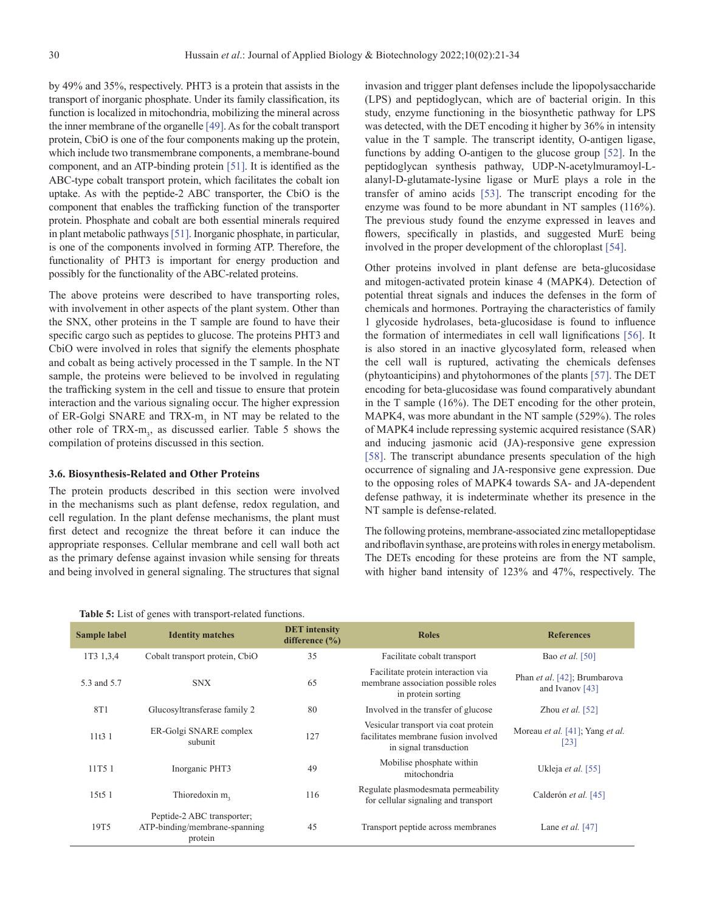by 49% and 35%, respectively. PHT3 is a protein that assists in the transport of inorganic phosphate. Under its family classification, its function is localized in mitochondria, mobilizing the mineral across the inner membrane of the organelle [\[49\]](#page-13-0). As for the cobalt transport protein, CbiO is one of the four components making up the protein, which include two transmembrane components, a membrane-bound component, and an ATP-binding protein [\[51\]](#page-13-0). It is identified as the ABC-type cobalt transport protein, which facilitates the cobalt ion uptake. As with the peptide-2 ABC transporter, the CbiO is the component that enables the trafficking function of the transporter protein. Phosphate and cobalt are both essential minerals required in plant metabolic pathways [\[51\]](#page-13-0). Inorganic phosphate, in particular, is one of the components involved in forming ATP. Therefore, the functionality of PHT3 is important for energy production and possibly for the functionality of the ABC-related proteins.

The above proteins were described to have transporting roles, with involvement in other aspects of the plant system. Other than the SNX, other proteins in the T sample are found to have their specific cargo such as peptides to glucose. The proteins PHT3 and CbiO were involved in roles that signify the elements phosphate and cobalt as being actively processed in the T sample. In the NT sample, the proteins were believed to be involved in regulating the trafficking system in the cell and tissue to ensure that protein interaction and the various signaling occur. The higher expression of ER-Golgi SNARE and  $TRX-m_3$  in NT may be related to the other role of  $TRX-m_3$ , as discussed earlier. Table 5 shows the compilation of proteins discussed in this section.

#### **3.6. Biosynthesis-Related and Other Proteins**

The protein products described in this section were involved in the mechanisms such as plant defense, redox regulation, and cell regulation. In the plant defense mechanisms, the plant must first detect and recognize the threat before it can induce the appropriate responses. Cellular membrane and cell wall both act as the primary defense against invasion while sensing for threats and being involved in general signaling. The structures that signal

invasion and trigger plant defenses include the lipopolysaccharide (LPS) and peptidoglycan, which are of bacterial origin. In this study, enzyme functioning in the biosynthetic pathway for LPS was detected, with the DET encoding it higher by 36% in intensity value in the T sample. The transcript identity, O-antigen ligase, functions by adding O-antigen to the glucose group [\[52\].](#page-13-0) In the peptidoglycan synthesis pathway, UDP-N-acetylmuramoyl-Lalanyl-D-glutamate-lysine ligase or MurE plays a role in the transfer of amino acids [\[53\].](#page-13-0) The transcript encoding for the enzyme was found to be more abundant in NT samples (116%). The previous study found the enzyme expressed in leaves and flowers, specifically in plastids, and suggested MurE being involved in the proper development of the chloroplast [\[54\]](#page-13-0).

Other proteins involved in plant defense are beta-glucosidase and mitogen-activated protein kinase 4 (MAPK4). Detection of potential threat signals and induces the defenses in the form of chemicals and hormones. Portraying the characteristics of family 1 glycoside hydrolases, beta-glucosidase is found to influence the formation of intermediates in cell wall lignifications [\[56\].](#page-13-0) It is also stored in an inactive glycosylated form, released when the cell wall is ruptured, activating the chemicals defenses (phytoanticipins) and phytohormones of the plants [\[57\]](#page-13-0). The DET encoding for beta-glucosidase was found comparatively abundant in the T sample (16%). The DET encoding for the other protein, MAPK4, was more abundant in the NT sample (529%). The roles of MAPK4 include repressing systemic acquired resistance (SAR) and inducing jasmonic acid (JA)-responsive gene expression [\[58\].](#page-13-0) The transcript abundance presents speculation of the high occurrence of signaling and JA-responsive gene expression. Due to the opposing roles of MAPK4 towards SA- and JA-dependent defense pathway, it is indeterminate whether its presence in the NT sample is defense-related.

The following proteins, membrane-associated zinc metallopeptidase and riboflavin synthase, are proteins with roles in energy metabolism. The DETs encoding for these proteins are from the NT sample, with higher band intensity of 123% and 47%, respectively. The

| <b>Sample label</b> | <b>Identity matches</b>                                                | <b>DET</b> intensity<br>difference $(\% )$ | <b>Roles</b>                                                                                           | <b>References</b>                                                   |
|---------------------|------------------------------------------------------------------------|--------------------------------------------|--------------------------------------------------------------------------------------------------------|---------------------------------------------------------------------|
| 1T3 1,3,4           | Cobalt transport protein, CbiO                                         | 35                                         | Facilitate cobalt transport                                                                            | Bao <i>et al.</i> [50]                                              |
| 5.3 and 5.7         | <b>SNX</b>                                                             | 65                                         | Facilitate protein interaction via<br>membrane association possible roles<br>in protein sorting        | Phan et al. [42]; Brumbarova<br>and Ivanov $[43]$                   |
| 8T1                 | Glucosyltransferase family 2                                           | 80                                         | Involved in the transfer of glucose                                                                    | Zhou et al. $[52]$                                                  |
| 11t31               | ER-Golgi SNARE complex<br>subunit                                      | 127                                        | Vesicular transport via coat protein<br>facilitates membrane fusion involved<br>in signal transduction | Moreau <i>et al.</i> [41]; Yang <i>et al.</i><br>$\lceil 23 \rceil$ |
| 11T5 1              | Inorganic PHT3                                                         | 49                                         | Mobilise phosphate within<br>mitochondria                                                              | Ukleja <i>et al.</i> [55]                                           |
| 15t5 1              | Thioredoxin m,                                                         | 116                                        | Regulate plasmodes mata permeability<br>for cellular signaling and transport                           | Calderón et al. [45]                                                |
| 19T5                | Peptide-2 ABC transporter;<br>ATP-binding/membrane-spanning<br>protein | 45                                         | Transport peptide across membranes                                                                     | Lane <i>et al.</i> [47]                                             |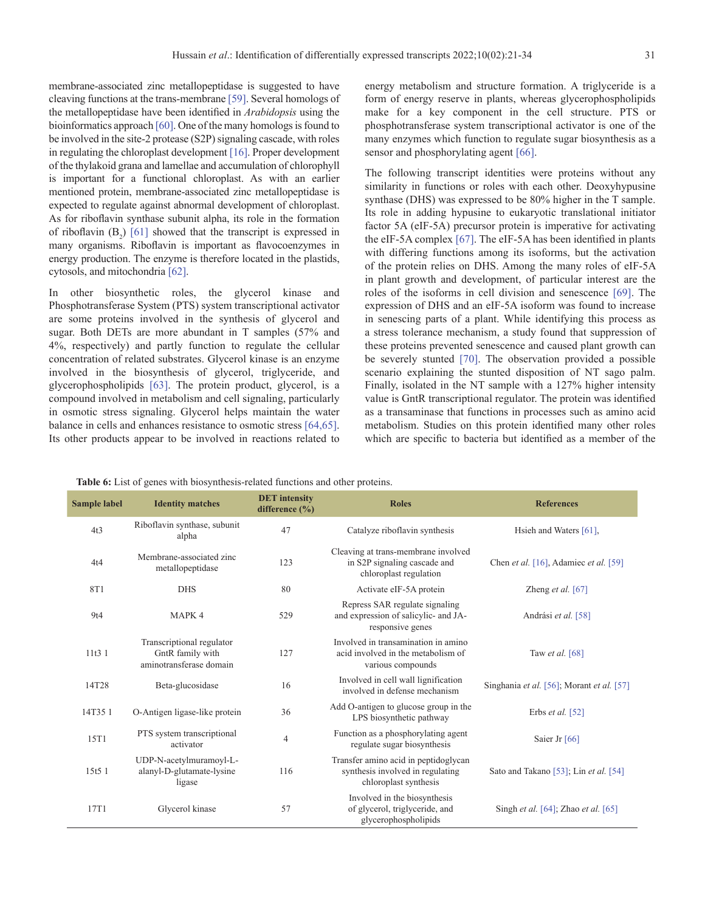<span id="page-10-0"></span>membrane-associated zinc metallopeptidase is suggested to have cleaving functions at the trans-membrane [\[59\].](#page-13-0) Several homologs of the metallopeptidase have been identified in *Arabidopsis* using the bioinformatics approach [\[60\].](#page-13-0) One of the many homologs is found to be involved in the site-2 protease (S2P) signaling cascade, with roles in regulating the chloroplast development [\[16\]](#page-12-0). Proper development of the thylakoid grana and lamellae and accumulation of chlorophyll is important for a functional chloroplast. As with an earlier mentioned protein, membrane-associated zinc metallopeptidase is expected to regulate against abnormal development of chloroplast. As for riboflavin synthase subunit alpha, its role in the formation of riboflavin  $(B_2)$  [\[61\]](#page-13-0) showed that the transcript is expressed in many organisms. Riboflavin is important as flavocoenzymes in energy production. The enzyme is therefore located in the plastids, cytosols, and mitochondria [\[62\].](#page-13-0)

In other biosynthetic roles, the glycerol kinase and Phosphotransferase System (PTS) system transcriptional activator are some proteins involved in the synthesis of glycerol and sugar. Both DETs are more abundant in T samples (57% and 4%, respectively) and partly function to regulate the cellular concentration of related substrates. Glycerol kinase is an enzyme involved in the biosynthesis of glycerol, triglyceride, and glycerophospholipids [\[63\].](#page-13-0) The protein product, glycerol, is a compound involved in metabolism and cell signaling, particularly in osmotic stress signaling. Glycerol helps maintain the water balance in cells and enhances resistance to osmotic stress [\[64,65\].](#page-13-0) Its other products appear to be involved in reactions related to

energy metabolism and structure formation. A triglyceride is a form of energy reserve in plants, whereas glycerophospholipids make for a key component in the cell structure. PTS or phosphotransferase system transcriptional activator is one of the many enzymes which function to regulate sugar biosynthesis as a sensor and phosphorylating agent [\[66\]](#page-13-0).

The following transcript identities were proteins without any similarity in functions or roles with each other. Deoxyhypusine synthase (DHS) was expressed to be 80% higher in the T sample. Its role in adding hypusine to eukaryotic translational initiator factor 5A (eIF-5A) precursor protein is imperative for activating the eIF-5A complex [\[67\]](#page-13-0). The eIF-5A has been identified in plants with differing functions among its isoforms, but the activation of the protein relies on DHS. Among the many roles of eIF-5A in plant growth and development, of particular interest are the roles of the isoforms in cell division and senescence [\[69\]](#page-13-0). The expression of DHS and an eIF-5A isoform was found to increase in senescing parts of a plant. While identifying this process as a stress tolerance mechanism, a study found that suppression of these proteins prevented senescence and caused plant growth can be severely stunted [\[70\]](#page-13-0). The observation provided a possible scenario explaining the stunted disposition of NT sago palm. Finally, isolated in the NT sample with a 127% higher intensity value is GntR transcriptional regulator. The protein was identified as a transaminase that functions in processes such as amino acid metabolism. Studies on this protein identified many other roles which are specific to bacteria but identified as a member of the

**Table 6:** List of genes with biosynthesis-related functions and other proteins.

| <b>Sample label</b> | <b>Identity matches</b>                                                  | <b>DET</b> intensity<br>difference $(\% )$ | <b>Roles</b>                                                                                      | <b>References</b>                         |
|---------------------|--------------------------------------------------------------------------|--------------------------------------------|---------------------------------------------------------------------------------------------------|-------------------------------------------|
| 4t3                 | Riboflavin synthase, subunit<br>alpha                                    | 47                                         | Catalyze riboflavin synthesis                                                                     | Hsieh and Waters [61],                    |
| 4t4                 | Membrane-associated zinc<br>metallopeptidase                             | 123                                        | Cleaving at trans-membrane involved<br>in S2P signaling cascade and<br>chloroplast regulation     | Chen et al. [16], Adamiec et al. [59]     |
| 8T1                 | <b>DHS</b>                                                               | 80                                         | Activate eIF-5A protein                                                                           | Zheng et al. $[67]$                       |
| 9t4                 | MAPK <sub>4</sub>                                                        | 529                                        | Repress SAR regulate signaling<br>and expression of salicylic- and JA-<br>responsive genes        | Andrási et al. [58]                       |
| 11t31               | Transcriptional regulator<br>GntR family with<br>aminotransferase domain | 127                                        | Involved in transamination in amino<br>acid involved in the metabolism of<br>various compounds    | Taw et al. $[68]$                         |
| 14T28               | Beta-glucosidase                                                         | 16                                         | Involved in cell wall lignification<br>involved in defense mechanism                              | Singhania et al. [56]; Morant et al. [57] |
| 14T35 1             | O-Antigen ligase-like protein                                            | 36                                         | Add O-antigen to glucose group in the<br>LPS biosynthetic pathway                                 | Erbs et al. [52]                          |
| 15T1                | PTS system transcriptional<br>activator                                  | $\overline{4}$                             | Function as a phosphorylating agent<br>regulate sugar biosynthesis                                | Saier Jr [66]                             |
| 15t5 1              | UDP-N-acetylmuramoyl-L-<br>alanyl-D-glutamate-lysine<br>ligase           | 116                                        | Transfer amino acid in peptidoglycan<br>synthesis involved in regulating<br>chloroplast synthesis | Sato and Takano [53]; Lin et al. [54]     |
| 17T1                | Glycerol kinase                                                          | 57                                         | Involved in the biosynthesis<br>of glycerol, triglyceride, and<br>glycerophospholipids            | Singh et al. [64]; Zhao et al. [65]       |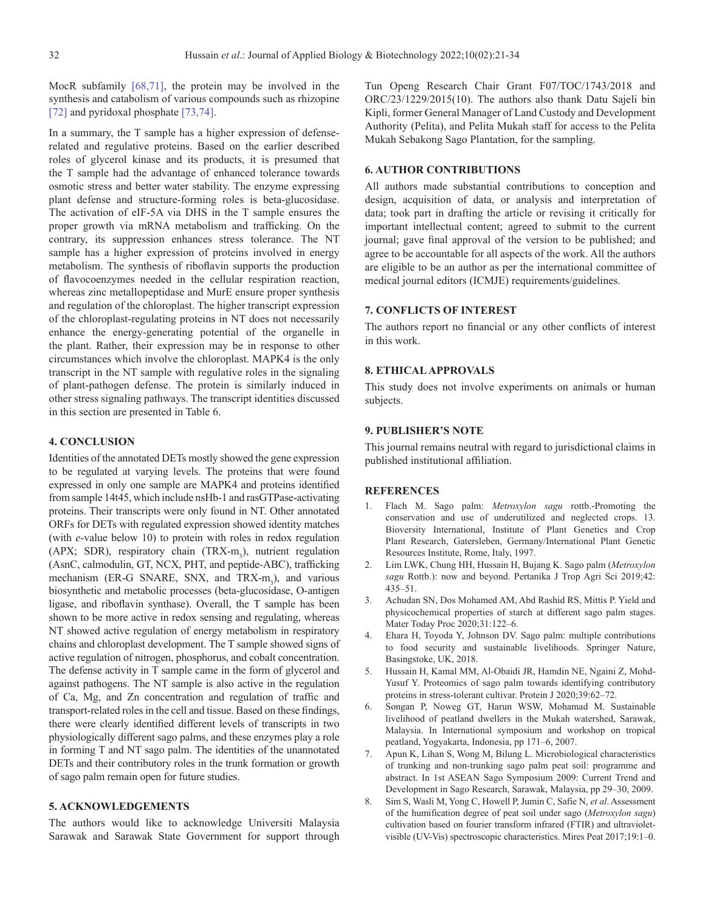<span id="page-11-0"></span>MocR subfamily [\[68,71\]](#page-13-0), the protein may be involved in the synthesis and catabolism of various compounds such as rhizopine [\[72\]](#page-13-0) and pyridoxal phosphate [\[73,74\].](#page-13-0)

In a summary, the T sample has a higher expression of defenserelated and regulative proteins. Based on the earlier described roles of glycerol kinase and its products, it is presumed that the T sample had the advantage of enhanced tolerance towards osmotic stress and better water stability. The enzyme expressing plant defense and structure-forming roles is beta-glucosidase. The activation of eIF-5A via DHS in the T sample ensures the proper growth via mRNA metabolism and trafficking. On the contrary, its suppression enhances stress tolerance. The NT sample has a higher expression of proteins involved in energy metabolism. The synthesis of riboflavin supports the production of flavocoenzymes needed in the cellular respiration reaction, whereas zinc metallopeptidase and MurE ensure proper synthesis and regulation of the chloroplast. The higher transcript expression of the chloroplast-regulating proteins in NT does not necessarily enhance the energy-generating potential of the organelle in the plant. Rather, their expression may be in response to other circumstances which involve the chloroplast. MAPK4 is the only transcript in the NT sample with regulative roles in the signaling of plant-pathogen defense. The protein is similarly induced in other stress signaling pathways. The transcript identities discussed in this section are presented in [Table 6.](#page-10-0)

# **4. CONCLUSION**

Identities of the annotated DETs mostly showed the gene expression to be regulated at varying levels. The proteins that were found expressed in only one sample are MAPK4 and proteins identified from sample 14t45, which include nsHb-1 and rasGTPase-activating proteins. Their transcripts were only found in NT. Other annotated ORFs for DETs with regulated expression showed identity matches (with *e*-value below 10) to protein with roles in redox regulation (APX; SDR), respiratory chain (TRX-m<sub>3</sub>), nutrient regulation (AsnC, calmodulin, GT, NCX, PHT, and peptide-ABC), trafficking mechanism (ER-G SNARE, SNX, and TRX- $m_3$ ), and various biosynthetic and metabolic processes (beta-glucosidase, O-antigen ligase, and riboflavin synthase). Overall, the T sample has been shown to be more active in redox sensing and regulating, whereas NT showed active regulation of energy metabolism in respiratory chains and chloroplast development. The T sample showed signs of active regulation of nitrogen, phosphorus, and cobalt concentration. The defense activity in T sample came in the form of glycerol and against pathogens. The NT sample is also active in the regulation of Ca, Mg, and Zn concentration and regulation of traffic and transport-related roles in the cell and tissue. Based on these findings, there were clearly identified different levels of transcripts in two physiologically different sago palms, and these enzymes play a role in forming T and NT sago palm. The identities of the unannotated DETs and their contributory roles in the trunk formation or growth of sago palm remain open for future studies.

## **5. ACKNOWLEDGEMENTS**

The authors would like to acknowledge Universiti Malaysia Sarawak and Sarawak State Government for support through Tun Openg Research Chair Grant F07/TOC/1743/2018 and ORC/23/1229/2015(10). The authors also thank Datu Sajeli bin Kipli, former General Manager of Land Custody and Development Authority (Pelita), and Pelita Mukah staff for access to the Pelita Mukah Sebakong Sago Plantation, for the sampling.

## **6. AUTHOR CONTRIBUTIONS**

All authors made substantial contributions to conception and design, acquisition of data, or analysis and interpretation of data; took part in drafting the article or revising it critically for important intellectual content; agreed to submit to the current journal; gave final approval of the version to be published; and agree to be accountable for all aspects of the work. All the authors are eligible to be an author as per the international committee of medical journal editors (ICMJE) requirements/guidelines.

# **7. CONFLICTS OF INTEREST**

The authors report no financial or any other conflicts of interest in this work.

#### **8. ETHICAL APPROVALS**

This study does not involve experiments on animals or human subjects.

# **9. PUBLISHER'S NOTE**

This journal remains neutral with regard to jurisdictional claims in published institutional affiliation.

#### **REFERENCES**

- 1. Flach M. Sago palm: *Metroxylon sagu* rottb.-Promoting the conservation and use of underutilized and neglected crops. 13. Bioversity International, Institute of Plant Genetics and Crop Plant Research, Gatersleben, Germany/International Plant Genetic Resources Institute, Rome, Italy, 1997.
- 2. Lim LWK, Chung HH, Hussain H, Bujang K. Sago palm (*Metroxylon sagu* Rottb.): now and beyond. Pertanika J Trop Agri Sci 2019;42: 435–51.
- 3. Achudan SN, Dos Mohamed AM, Abd Rashid RS, Mittis P. Yield and physicochemical properties of starch at different sago palm stages. Mater Today Proc 2020;31:122–6.
- 4. Ehara H, Toyoda Y, Johnson DV. Sago palm: multiple contributions to food security and sustainable livelihoods. Springer Nature, Basingstoke, UK, 2018.
- 5. Hussain H, Kamal MM, Al-Obaidi JR, Hamdin NE, Ngaini Z, Mohd-Yusuf Y. Proteomics of sago palm towards identifying contributory proteins in stress-tolerant cultivar. Protein J 2020;39:62–72.
- 6. Songan P, Noweg GT, Harun WSW, Mohamad M. Sustainable livelihood of peatland dwellers in the Mukah watershed, Sarawak, Malaysia. In International symposium and workshop on tropical peatland, Yogyakarta, Indonesia, pp 171–6, 2007.
- 7. Apun K, Lihan S, Wong M, Bilung L. Microbiological characteristics of trunking and non-trunking sago palm peat soil: programme and abstract. In 1st ASEAN Sago Symposium 2009: Current Trend and Development in Sago Research, Sarawak, Malaysia, pp 29–30, 2009.
- 8. Sim S, Wasli M, Yong C, Howell P, Jumin C, Safie N, *et al*. Assessment of the humification degree of peat soil under sago (*Metroxylon sagu*) cultivation based on fourier transform infrared (FTIR) and ultravioletvisible (UV-Vis) spectroscopic characteristics. Mires Peat 2017;19:1–0.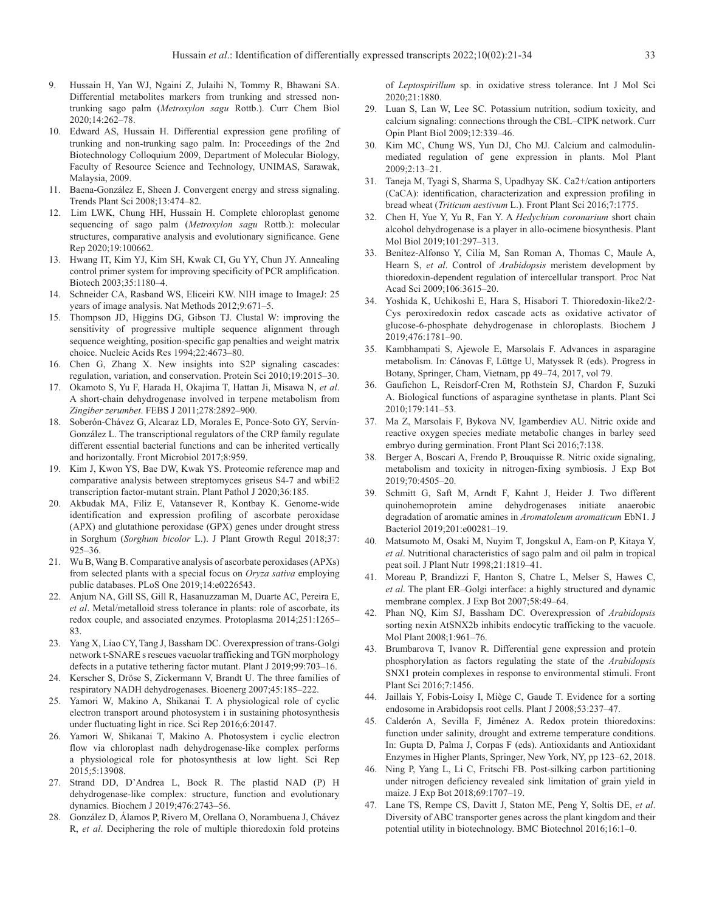- <span id="page-12-0"></span>9. Hussain H, Yan WJ, Ngaini Z, Julaihi N, Tommy R, Bhawani SA. Differential metabolites markers from trunking and stressed nontrunking sago palm (*Metroxylon sagu* Rottb.). Curr Chem Biol 2020;14:262–78.
- 10. Edward AS, Hussain H. Differential expression gene profiling of trunking and non-trunking sago palm. In: Proceedings of the 2nd Biotechnology Colloquium 2009, Department of Molecular Biology, Faculty of Resource Science and Technology, UNIMAS, Sarawak, Malaysia, 2009.
- 11. Baena-González E, Sheen J. Convergent energy and stress signaling. Trends Plant Sci 2008;13:474–82.
- 12. Lim LWK, Chung HH, Hussain H. Complete chloroplast genome sequencing of sago palm (*Metroxylon sagu* Rottb.): molecular structures, comparative analysis and evolutionary significance. Gene Rep 2020;19:100662.
- 13. Hwang IT, Kim YJ, Kim SH, Kwak CI, Gu YY, Chun JY. Annealing control primer system for improving specificity of PCR amplification. Biotech 2003;35:1180–4.
- 14. Schneider CA, Rasband WS, Eliceiri KW. NIH image to ImageJ: 25 years of image analysis. Nat Methods 2012;9:671–5.
- 15. Thompson JD, Higgins DG, Gibson TJ. Clustal W: improving the sensitivity of progressive multiple sequence alignment through sequence weighting, position-specific gap penalties and weight matrix choice. Nucleic Acids Res 1994;22:4673–80.
- 16. Chen G, Zhang X. New insights into S2P signaling cascades: regulation, variation, and conservation. Protein Sci 2010;19:2015–30.
- 17. Okamoto S, Yu F, Harada H, Okajima T, Hattan Ji, Misawa N, *et al*. A short-chain dehydrogenase involved in terpene metabolism from *Zingiber zerumbet*. FEBS J 2011;278:2892–900.
- 18. Soberón-Chávez G, Alcaraz LD, Morales E, Ponce-Soto GY, Servín-González L. The transcriptional regulators of the CRP family regulate different essential bacterial functions and can be inherited vertically and horizontally. Front Microbiol 2017;8:959.
- 19. Kim J, Kwon YS, Bae DW, Kwak YS. Proteomic reference map and comparative analysis between streptomyces griseus S4-7 and wbiE2 transcription factor-mutant strain. Plant Pathol J 2020;36:185.
- 20. Akbudak MA, Filiz E, Vatansever R, Kontbay K. Genome-wide identification and expression profiling of ascorbate peroxidase (APX) and glutathione peroxidase (GPX) genes under drought stress in Sorghum (*Sorghum bicolor* L.). J Plant Growth Regul 2018;37: 925–36.
- 21. Wu B, Wang B. Comparative analysis of ascorbate peroxidases (APXs) from selected plants with a special focus on *Oryza sativa* employing public databases. PLoS One 2019;14:e0226543.
- 22. Anjum NA, Gill SS, Gill R, Hasanuzzaman M, Duarte AC, Pereira E, *et al*. Metal/metalloid stress tolerance in plants: role of ascorbate, its redox couple, and associated enzymes. Protoplasma 2014;251:1265– 83.
- 23. Yang X, Liao CY, Tang J, Bassham DC. Overexpression of trans-Golgi network t-SNARE s rescues vacuolar trafficking and TGN morphology defects in a putative tethering factor mutant. Plant J 2019;99:703–16.
- 24. Kerscher S, Dröse S, Zickermann V, Brandt U. The three families of respiratory NADH dehydrogenases. Bioenerg 2007;45:185–222.
- 25. Yamori W, Makino A, Shikanai T. A physiological role of cyclic electron transport around photosystem i in sustaining photosynthesis under fluctuating light in rice. Sci Rep 2016;6:20147.
- 26. Yamori W, Shikanai T, Makino A. Photosystem i cyclic electron flow via chloroplast nadh dehydrogenase-like complex performs a physiological role for photosynthesis at low light. Sci Rep 2015;5:13908.
- 27. Strand DD, D'Andrea L, Bock R. The plastid NAD (P) H dehydrogenase-like complex: structure, function and evolutionary dynamics. Biochem J 2019;476:2743–56.
- 28. González D, Álamos P, Rivero M, Orellana O, Norambuena J, Chávez R, *et al*. Deciphering the role of multiple thioredoxin fold proteins

of *Leptospirillum* sp. in oxidative stress tolerance. Int J Mol Sci 2020;21:1880.

- 29. Luan S, Lan W, Lee SC. Potassium nutrition, sodium toxicity, and calcium signaling: connections through the CBL–CIPK network. Curr Opin Plant Biol 2009;12:339–46.
- 30. Kim MC, Chung WS, Yun DJ, Cho MJ. Calcium and calmodulinmediated regulation of gene expression in plants. Mol Plant 2009;2:13–21.
- 31. Taneja M, Tyagi S, Sharma S, Upadhyay SK. Ca2+/cation antiporters (CaCA): identification, characterization and expression profiling in bread wheat (*Triticum aestivum* L.). Front Plant Sci 2016;7:1775.
- 32. Chen H, Yue Y, Yu R, Fan Y. A *Hedychium coronarium* short chain alcohol dehydrogenase is a player in allo-ocimene biosynthesis. Plant Mol Biol 2019;101:297–313.
- 33. Benitez-Alfonso Y, Cilia M, San Roman A, Thomas C, Maule A, Hearn S, *et al*. Control of *Arabidopsis* meristem development by thioredoxin-dependent regulation of intercellular transport. Proc Nat Acad Sci 2009;106:3615–20.
- 34. Yoshida K, Uchikoshi E, Hara S, Hisabori T. Thioredoxin-like2/2- Cys peroxiredoxin redox cascade acts as oxidative activator of glucose-6-phosphate dehydrogenase in chloroplasts. Biochem J 2019;476:1781–90.
- 35. Kambhampati S, Ajewole E, Marsolais F. Advances in asparagine metabolism. In: Cánovas F, Lüttge U, Matyssek R (eds). Progress in Botany, Springer, Cham, Vietnam, pp 49–74, 2017, vol 79.
- 36. Gaufichon L, Reisdorf-Cren M, Rothstein SJ, Chardon F, Suzuki A. Biological functions of asparagine synthetase in plants. Plant Sci 2010;179:141–53.
- 37. Ma Z, Marsolais F, Bykova NV, Igamberdiev AU. Nitric oxide and reactive oxygen species mediate metabolic changes in barley seed embryo during germination. Front Plant Sci 2016;7:138.
- 38. Berger A, Boscari A, Frendo P, Brouquisse R. Nitric oxide signaling, metabolism and toxicity in nitrogen-fixing symbiosis. J Exp Bot 2019;70:4505–20.
- 39. Schmitt G, Saft M, Arndt F, Kahnt J, Heider J. Two different quinohemoprotein amine dehydrogenases initiate anaerobic degradation of aromatic amines in *Aromatoleum aromaticum* EbN1. J Bacteriol 2019;201:e00281–19.
- 40. Matsumoto M, Osaki M, Nuyim T, Jongskul A, Eam-on P, Kitaya Y, *et al*. Nutritional characteristics of sago palm and oil palm in tropical peat soil. J Plant Nutr 1998;21:1819–41.
- 41. Moreau P, Brandizzi F, Hanton S, Chatre L, Melser S, Hawes C, *et al*. The plant ER–Golgi interface: a highly structured and dynamic membrane complex. J Exp Bot 2007;58:49–64.
- 42. Phan NQ, Kim SJ, Bassham DC. Overexpression of *Arabidopsis* sorting nexin AtSNX2b inhibits endocytic trafficking to the vacuole. Mol Plant 2008;1:961–76.
- 43. Brumbarova T, Ivanov R. Differential gene expression and protein phosphorylation as factors regulating the state of the *Arabidopsis* SNX1 protein complexes in response to environmental stimuli. Front Plant Sci 2016;7:1456.
- 44. Jaillais Y, Fobis-Loisy I, Miège C, Gaude T. Evidence for a sorting endosome in Arabidopsis root cells. Plant J 2008;53:237–47.
- 45. Calderón A, Sevilla F, Jiménez A. Redox protein thioredoxins: function under salinity, drought and extreme temperature conditions. In: Gupta D, Palma J, Corpas F (eds). Antioxidants and Antioxidant Enzymes in Higher Plants, Springer, New York, NY, pp 123–62, 2018.
- 46. Ning P, Yang L, Li C, Fritschi FB. Post-silking carbon partitioning under nitrogen deficiency revealed sink limitation of grain yield in maize. J Exp Bot 2018;69:1707–19.
- 47. Lane TS, Rempe CS, Davitt J, Staton ME, Peng Y, Soltis DE, *et al*. Diversity of ABC transporter genes across the plant kingdom and their potential utility in biotechnology. BMC Biotechnol 2016;16:1–0.